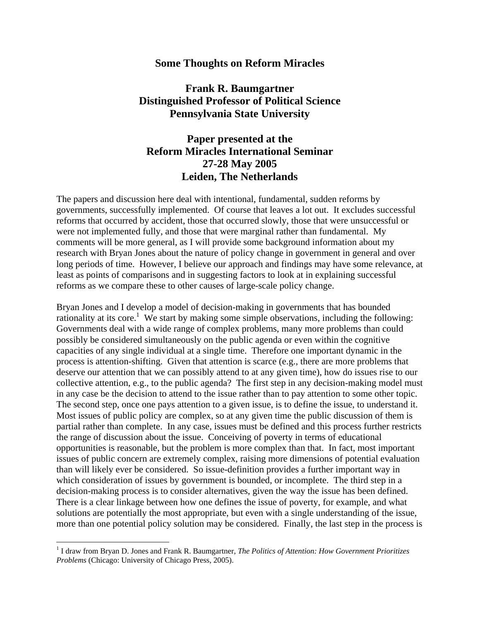### **Some Thoughts on Reform Miracles**

# **Frank R. Baumgartner Distinguished Professor of Political Science Pennsylvania State University**

# **Paper presented at the Reform Miracles International Seminar 27-28 May 2005 Leiden, The Netherlands**

The papers and discussion here deal with intentional, fundamental, sudden reforms by governments, successfully implemented. Of course that leaves a lot out. It excludes successful reforms that occurred by accident, those that occurred slowly, those that were unsuccessful or were not implemented fully, and those that were marginal rather than fundamental. My comments will be more general, as I will provide some background information about my research with Bryan Jones about the nature of policy change in government in general and over long periods of time. However, I believe our approach and findings may have some relevance, at least as points of comparisons and in suggesting factors to look at in explaining successful reforms as we compare these to other causes of large-scale policy change.

Bryan Jones and I develop a model of decision-making in governments that has bounded rationality at its core.<sup>1</sup> We start by making some simple observations, including the following: Governments deal with a wide range of complex problems, many more problems than could possibly be considered simultaneously on the public agenda or even within the cognitive capacities of any single individual at a single time. Therefore one important dynamic in the process is attention-shifting. Given that attention is scarce (e.g., there are more problems that deserve our attention that we can possibly attend to at any given time), how do issues rise to our collective attention, e.g., to the public agenda? The first step in any decision-making model must in any case be the decision to attend to the issue rather than to pay attention to some other topic. The second step, once one pays attention to a given issue, is to define the issue, to understand it. Most issues of public policy are complex, so at any given time the public discussion of them is partial rather than complete. In any case, issues must be defined and this process further restricts the range of discussion about the issue. Conceiving of poverty in terms of educational opportunities is reasonable, but the problem is more complex than that. In fact, most important issues of public concern are extremely complex, raising more dimensions of potential evaluation than will likely ever be considered. So issue-definition provides a further important way in which consideration of issues by government is bounded, or incomplete. The third step in a decision-making process is to consider alternatives, given the way the issue has been defined. There is a clear linkage between how one defines the issue of poverty, for example, and what solutions are potentially the most appropriate, but even with a single understanding of the issue, more than one potential policy solution may be considered. Finally, the last step in the process is

 1 I draw from Bryan D. Jones and Frank R. Baumgartner, *The Politics of Attention: How Government Prioritizes Problems* (Chicago: University of Chicago Press, 2005).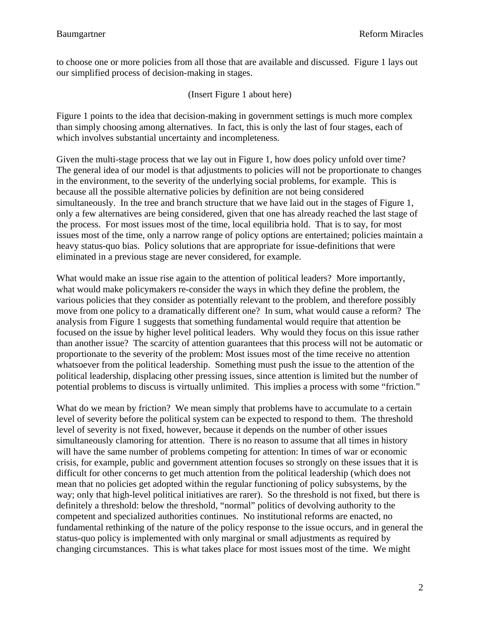to choose one or more policies from all those that are available and discussed. Figure 1 lays out our simplified process of decision-making in stages.

(Insert Figure 1 about here)

Figure 1 points to the idea that decision-making in government settings is much more complex than simply choosing among alternatives. In fact, this is only the last of four stages, each of which involves substantial uncertainty and incompleteness.

Given the multi-stage process that we lay out in Figure 1, how does policy unfold over time? The general idea of our model is that adjustments to policies will not be proportionate to changes in the environment, to the severity of the underlying social problems, for example. This is because all the possible alternative policies by definition are not being considered simultaneously. In the tree and branch structure that we have laid out in the stages of Figure 1, only a few alternatives are being considered, given that one has already reached the last stage of the process. For most issues most of the time, local equilibria hold. That is to say, for most issues most of the time, only a narrow range of policy options are entertained; policies maintain a heavy status-quo bias. Policy solutions that are appropriate for issue-definitions that were eliminated in a previous stage are never considered, for example.

What would make an issue rise again to the attention of political leaders? More importantly, what would make policymakers re-consider the ways in which they define the problem, the various policies that they consider as potentially relevant to the problem, and therefore possibly move from one policy to a dramatically different one? In sum, what would cause a reform? The analysis from Figure 1 suggests that something fundamental would require that attention be focused on the issue by higher level political leaders. Why would they focus on this issue rather than another issue? The scarcity of attention guarantees that this process will not be automatic or proportionate to the severity of the problem: Most issues most of the time receive no attention whatsoever from the political leadership. Something must push the issue to the attention of the political leadership, displacing other pressing issues, since attention is limited but the number of potential problems to discuss is virtually unlimited. This implies a process with some "friction."

What do we mean by friction? We mean simply that problems have to accumulate to a certain level of severity before the political system can be expected to respond to them. The threshold level of severity is not fixed, however, because it depends on the number of other issues simultaneously clamoring for attention. There is no reason to assume that all times in history will have the same number of problems competing for attention: In times of war or economic crisis, for example, public and government attention focuses so strongly on these issues that it is difficult for other concerns to get much attention from the political leadership (which does not mean that no policies get adopted within the regular functioning of policy subsystems, by the way; only that high-level political initiatives are rarer). So the threshold is not fixed, but there is definitely a threshold: below the threshold, "normal" politics of devolving authority to the competent and specialized authorities continues. No institutional reforms are enacted, no fundamental rethinking of the nature of the policy response to the issue occurs, and in general the status-quo policy is implemented with only marginal or small adjustments as required by changing circumstances. This is what takes place for most issues most of the time. We might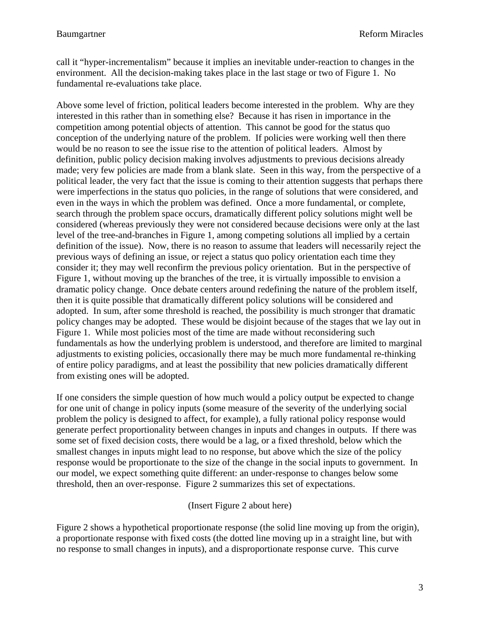call it "hyper-incrementalism" because it implies an inevitable under-reaction to changes in the environment. All the decision-making takes place in the last stage or two of Figure 1. No fundamental re-evaluations take place.

Above some level of friction, political leaders become interested in the problem. Why are they interested in this rather than in something else? Because it has risen in importance in the competition among potential objects of attention. This cannot be good for the status quo conception of the underlying nature of the problem. If policies were working well then there would be no reason to see the issue rise to the attention of political leaders. Almost by definition, public policy decision making involves adjustments to previous decisions already made; very few policies are made from a blank slate. Seen in this way, from the perspective of a political leader, the very fact that the issue is coming to their attention suggests that perhaps there were imperfections in the status quo policies, in the range of solutions that were considered, and even in the ways in which the problem was defined. Once a more fundamental, or complete, search through the problem space occurs, dramatically different policy solutions might well be considered (whereas previously they were not considered because decisions were only at the last level of the tree-and-branches in Figure 1, among competing solutions all implied by a certain definition of the issue). Now, there is no reason to assume that leaders will necessarily reject the previous ways of defining an issue, or reject a status quo policy orientation each time they consider it; they may well reconfirm the previous policy orientation. But in the perspective of Figure 1, without moving up the branches of the tree, it is virtually impossible to envision a dramatic policy change. Once debate centers around redefining the nature of the problem itself, then it is quite possible that dramatically different policy solutions will be considered and adopted. In sum, after some threshold is reached, the possibility is much stronger that dramatic policy changes may be adopted. These would be disjoint because of the stages that we lay out in Figure 1. While most policies most of the time are made without reconsidering such fundamentals as how the underlying problem is understood, and therefore are limited to marginal adjustments to existing policies, occasionally there may be much more fundamental re-thinking of entire policy paradigms, and at least the possibility that new policies dramatically different from existing ones will be adopted.

If one considers the simple question of how much would a policy output be expected to change for one unit of change in policy inputs (some measure of the severity of the underlying social problem the policy is designed to affect, for example), a fully rational policy response would generate perfect proportionality between changes in inputs and changes in outputs. If there was some set of fixed decision costs, there would be a lag, or a fixed threshold, below which the smallest changes in inputs might lead to no response, but above which the size of the policy response would be proportionate to the size of the change in the social inputs to government. In our model, we expect something quite different: an under-response to changes below some threshold, then an over-response. Figure 2 summarizes this set of expectations.

#### (Insert Figure 2 about here)

Figure 2 shows a hypothetical proportionate response (the solid line moving up from the origin), a proportionate response with fixed costs (the dotted line moving up in a straight line, but with no response to small changes in inputs), and a disproportionate response curve. This curve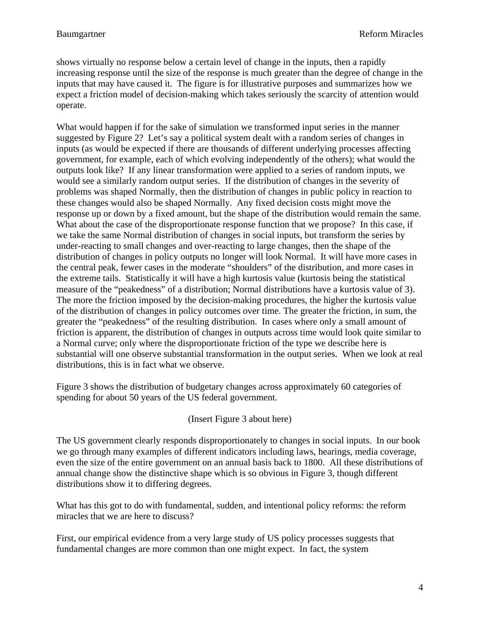shows virtually no response below a certain level of change in the inputs, then a rapidly increasing response until the size of the response is much greater than the degree of change in the inputs that may have caused it. The figure is for illustrative purposes and summarizes how we expect a friction model of decision-making which takes seriously the scarcity of attention would operate.

What would happen if for the sake of simulation we transformed input series in the manner suggested by Figure 2? Let's say a political system dealt with a random series of changes in inputs (as would be expected if there are thousands of different underlying processes affecting government, for example, each of which evolving independently of the others); what would the outputs look like? If any linear transformation were applied to a series of random inputs, we would see a similarly random output series. If the distribution of changes in the severity of problems was shaped Normally, then the distribution of changes in public policy in reaction to these changes would also be shaped Normally. Any fixed decision costs might move the response up or down by a fixed amount, but the shape of the distribution would remain the same. What about the case of the disproportionate response function that we propose? In this case, if we take the same Normal distribution of changes in social inputs, but transform the series by under-reacting to small changes and over-reacting to large changes, then the shape of the distribution of changes in policy outputs no longer will look Normal. It will have more cases in the central peak, fewer cases in the moderate "shoulders" of the distribution, and more cases in the extreme tails. Statistically it will have a high kurtosis value (kurtosis being the statistical measure of the "peakedness" of a distribution; Normal distributions have a kurtosis value of 3). The more the friction imposed by the decision-making procedures, the higher the kurtosis value of the distribution of changes in policy outcomes over time. The greater the friction, in sum, the greater the "peakedness" of the resulting distribution. In cases where only a small amount of friction is apparent, the distribution of changes in outputs across time would look quite similar to a Normal curve; only where the disproportionate friction of the type we describe here is substantial will one observe substantial transformation in the output series. When we look at real distributions, this is in fact what we observe.

Figure 3 shows the distribution of budgetary changes across approximately 60 categories of spending for about 50 years of the US federal government.

(Insert Figure 3 about here)

The US government clearly responds disproportionately to changes in social inputs. In our book we go through many examples of different indicators including laws, hearings, media coverage, even the size of the entire government on an annual basis back to 1800. All these distributions of annual change show the distinctive shape which is so obvious in Figure 3, though different distributions show it to differing degrees.

What has this got to do with fundamental, sudden, and intentional policy reforms: the reform miracles that we are here to discuss?

First, our empirical evidence from a very large study of US policy processes suggests that fundamental changes are more common than one might expect. In fact, the system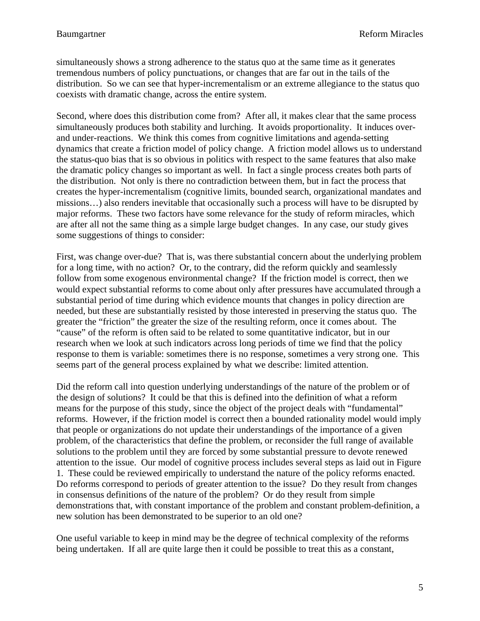simultaneously shows a strong adherence to the status quo at the same time as it generates tremendous numbers of policy punctuations, or changes that are far out in the tails of the distribution. So we can see that hyper-incrementalism or an extreme allegiance to the status quo coexists with dramatic change, across the entire system.

Second, where does this distribution come from? After all, it makes clear that the same process simultaneously produces both stability and lurching. It avoids proportionality. It induces overand under-reactions. We think this comes from cognitive limitations and agenda-setting dynamics that create a friction model of policy change. A friction model allows us to understand the status-quo bias that is so obvious in politics with respect to the same features that also make the dramatic policy changes so important as well. In fact a single process creates both parts of the distribution. Not only is there no contradiction between them, but in fact the process that creates the hyper-incrementalism (cognitive limits, bounded search, organizational mandates and missions…) also renders inevitable that occasionally such a process will have to be disrupted by major reforms. These two factors have some relevance for the study of reform miracles, which are after all not the same thing as a simple large budget changes. In any case, our study gives some suggestions of things to consider:

First, was change over-due? That is, was there substantial concern about the underlying problem for a long time, with no action? Or, to the contrary, did the reform quickly and seamlessly follow from some exogenous environmental change? If the friction model is correct, then we would expect substantial reforms to come about only after pressures have accumulated through a substantial period of time during which evidence mounts that changes in policy direction are needed, but these are substantially resisted by those interested in preserving the status quo. The greater the "friction" the greater the size of the resulting reform, once it comes about. The "cause" of the reform is often said to be related to some quantitative indicator, but in our research when we look at such indicators across long periods of time we find that the policy response to them is variable: sometimes there is no response, sometimes a very strong one. This seems part of the general process explained by what we describe: limited attention.

Did the reform call into question underlying understandings of the nature of the problem or of the design of solutions? It could be that this is defined into the definition of what a reform means for the purpose of this study, since the object of the project deals with "fundamental" reforms. However, if the friction model is correct then a bounded rationality model would imply that people or organizations do not update their understandings of the importance of a given problem, of the characteristics that define the problem, or reconsider the full range of available solutions to the problem until they are forced by some substantial pressure to devote renewed attention to the issue. Our model of cognitive process includes several steps as laid out in Figure 1. These could be reviewed empirically to understand the nature of the policy reforms enacted. Do reforms correspond to periods of greater attention to the issue? Do they result from changes in consensus definitions of the nature of the problem? Or do they result from simple demonstrations that, with constant importance of the problem and constant problem-definition, a new solution has been demonstrated to be superior to an old one?

One useful variable to keep in mind may be the degree of technical complexity of the reforms being undertaken. If all are quite large then it could be possible to treat this as a constant,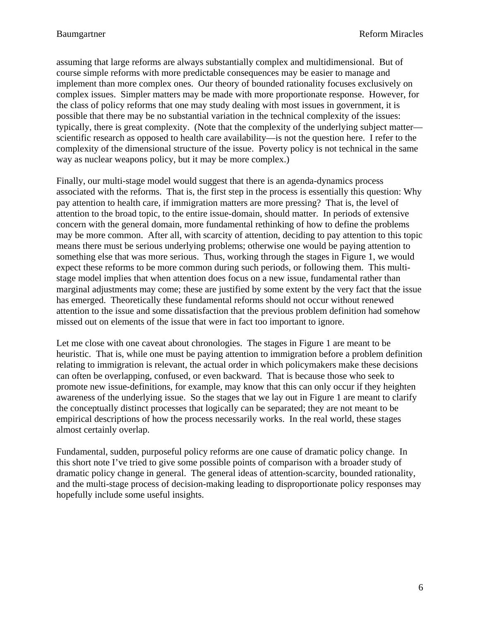assuming that large reforms are always substantially complex and multidimensional. But of course simple reforms with more predictable consequences may be easier to manage and implement than more complex ones. Our theory of bounded rationality focuses exclusively on complex issues. Simpler matters may be made with more proportionate response. However, for the class of policy reforms that one may study dealing with most issues in government, it is possible that there may be no substantial variation in the technical complexity of the issues: typically, there is great complexity. (Note that the complexity of the underlying subject matter scientific research as opposed to health care availability—is not the question here. I refer to the complexity of the dimensional structure of the issue. Poverty policy is not technical in the same way as nuclear weapons policy, but it may be more complex.)

Finally, our multi-stage model would suggest that there is an agenda-dynamics process associated with the reforms. That is, the first step in the process is essentially this question: Why pay attention to health care, if immigration matters are more pressing? That is, the level of attention to the broad topic, to the entire issue-domain, should matter. In periods of extensive concern with the general domain, more fundamental rethinking of how to define the problems may be more common. After all, with scarcity of attention, deciding to pay attention to this topic means there must be serious underlying problems; otherwise one would be paying attention to something else that was more serious. Thus, working through the stages in Figure 1, we would expect these reforms to be more common during such periods, or following them. This multistage model implies that when attention does focus on a new issue, fundamental rather than marginal adjustments may come; these are justified by some extent by the very fact that the issue has emerged. Theoretically these fundamental reforms should not occur without renewed attention to the issue and some dissatisfaction that the previous problem definition had somehow missed out on elements of the issue that were in fact too important to ignore.

Let me close with one caveat about chronologies. The stages in Figure 1 are meant to be heuristic. That is, while one must be paying attention to immigration before a problem definition relating to immigration is relevant, the actual order in which policymakers make these decisions can often be overlapping, confused, or even backward. That is because those who seek to promote new issue-definitions, for example, may know that this can only occur if they heighten awareness of the underlying issue. So the stages that we lay out in Figure 1 are meant to clarify the conceptually distinct processes that logically can be separated; they are not meant to be empirical descriptions of how the process necessarily works. In the real world, these stages almost certainly overlap.

Fundamental, sudden, purposeful policy reforms are one cause of dramatic policy change. In this short note I've tried to give some possible points of comparison with a broader study of dramatic policy change in general. The general ideas of attention-scarcity, bounded rationality, and the multi-stage process of decision-making leading to disproportionate policy responses may hopefully include some useful insights.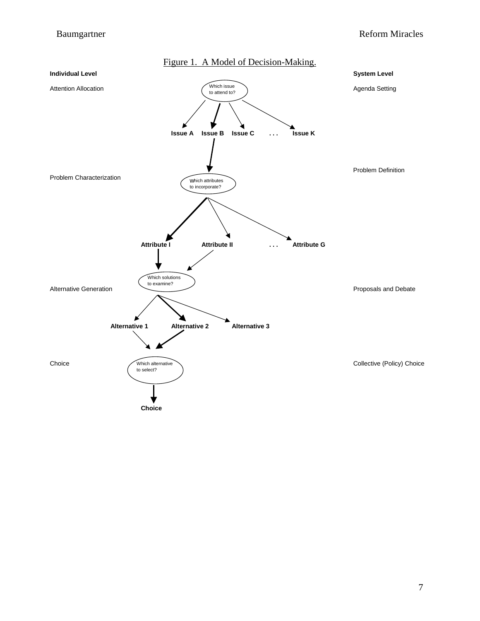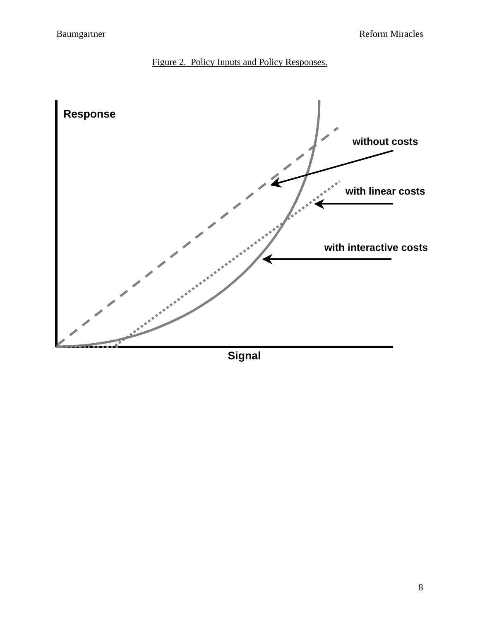